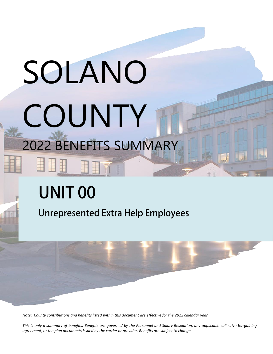# SOLANO COUNTY 2022 BENEFITS SUMMARY

# **UNIT 00**

**Unrepresented Extra Help Employees** 



*Note: County contributions and benefits listed within this document are effective for the 2022 calendar year.* 

*This is only a summary of benefits. Benefits are governed by the Personnel and Salary Resolution, any applicable collective bargaining agreement, or the plan documents issued by the carrier or provider. Benefits are subject to change.*